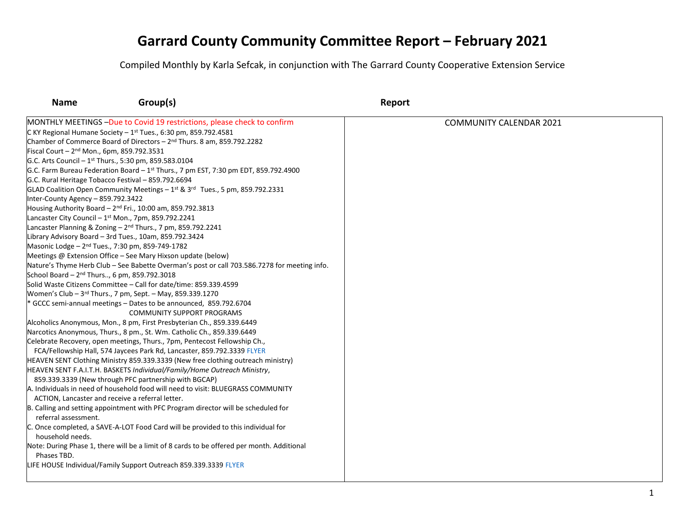| <b>Name</b>                                              | Group(s)                                                                                        | Report                         |
|----------------------------------------------------------|-------------------------------------------------------------------------------------------------|--------------------------------|
|                                                          | MONTHLY MEETINGS -Due to Covid 19 restrictions, please check to confirm                         | <b>COMMUNITY CALENDAR 2021</b> |
|                                                          | C KY Regional Humane Society $-1$ <sup>st</sup> Tues., 6:30 pm, 859.792.4581                    |                                |
|                                                          | Chamber of Commerce Board of Directors - 2 <sup>nd</sup> Thurs. 8 am, 859.792.2282              |                                |
| Fiscal Court - $2^{nd}$ Mon., 6pm, 859.792.3531          |                                                                                                 |                                |
|                                                          | G.C. Arts Council – $1st$ Thurs., 5:30 pm, 859.583.0104                                         |                                |
|                                                          | G.C. Farm Bureau Federation Board - 1 <sup>st</sup> Thurs., 7 pm EST, 7:30 pm EDT, 859.792.4900 |                                |
|                                                          | G.C. Rural Heritage Tobacco Festival - 859.792.6694                                             |                                |
|                                                          | GLAD Coalition Open Community Meetings $-1^{st}$ & $3^{rd}$ Tues., 5 pm, 859.792.2331           |                                |
| Inter-County Agency - 859.792.3422                       |                                                                                                 |                                |
|                                                          | Housing Authority Board $-2^{nd}$ Fri., 10:00 am, 859.792.3813                                  |                                |
|                                                          | Lancaster City Council - 1st Mon., 7pm, 859.792.2241                                            |                                |
|                                                          | Lancaster Planning & Zoning - 2 <sup>nd</sup> Thurs., 7 pm, 859.792.2241                        |                                |
|                                                          | Library Advisory Board - 3rd Tues., 10am, 859.792.3424                                          |                                |
|                                                          | Masonic Lodge - 2 <sup>nd</sup> Tues., 7:30 pm, 859-749-1782                                    |                                |
|                                                          | Meetings @ Extension Office - See Mary Hixson update (below)                                    |                                |
|                                                          | Nature's Thyme Herb Club - See Babette Overman's post or call 703.586.7278 for meeting info.    |                                |
| School Board - 2 <sup>nd</sup> Thurs, 6 pm, 859.792.3018 |                                                                                                 |                                |
|                                                          | Solid Waste Citizens Committee - Call for date/time: 859.339.4599                               |                                |
|                                                          | Women's Club - 3rd Thurs., 7 pm, Sept. - May, 859.339.1270                                      |                                |
|                                                          | GCCC semi-annual meetings - Dates to be announced, 859.792.6704                                 |                                |
|                                                          | <b>COMMUNITY SUPPORT PROGRAMS</b>                                                               |                                |
|                                                          | Alcoholics Anonymous, Mon., 8 pm, First Presbyterian Ch., 859.339.6449                          |                                |
|                                                          | Narcotics Anonymous, Thurs., 8 pm., St. Wm. Catholic Ch., 859.339.6449                          |                                |
|                                                          | Celebrate Recovery, open meetings, Thurs., 7pm, Pentecost Fellowship Ch.,                       |                                |
|                                                          | FCA/Fellowship Hall, 574 Jaycees Park Rd, Lancaster, 859.792.3339 FLYER                         |                                |
|                                                          | HEAVEN SENT Clothing Ministry 859.339.3339 (New free clothing outreach ministry)                |                                |
|                                                          | HEAVEN SENT F.A.I.T.H. BASKETS Individual/Family/Home Outreach Ministry,                        |                                |
|                                                          | 859.339.3339 (New through PFC partnership with BGCAP)                                           |                                |
|                                                          | A. Individuals in need of household food will need to visit: BLUEGRASS COMMUNITY                |                                |
|                                                          | ACTION, Lancaster and receive a referral letter.                                                |                                |
|                                                          | B. Calling and setting appointment with PFC Program director will be scheduled for              |                                |
| referral assessment.                                     |                                                                                                 |                                |
|                                                          | C. Once completed, a SAVE-A-LOT Food Card will be provided to this individual for               |                                |
| household needs.                                         |                                                                                                 |                                |
|                                                          | Note: During Phase 1, there will be a limit of 8 cards to be offered per month. Additional      |                                |
| Phases TBD.                                              |                                                                                                 |                                |
|                                                          | LIFE HOUSE Individual/Family Support Outreach 859.339.3339 FLYER                                |                                |
|                                                          |                                                                                                 |                                |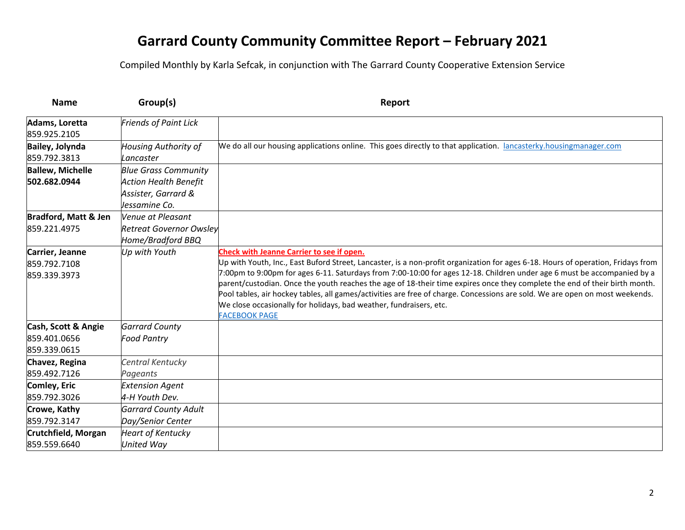| <b>Name</b>                                         | Group(s)                                                                                            | Report                                                                                                                                                                                                                                                                                                                                                                                                                                                                                                                                                                                                                                                               |
|-----------------------------------------------------|-----------------------------------------------------------------------------------------------------|----------------------------------------------------------------------------------------------------------------------------------------------------------------------------------------------------------------------------------------------------------------------------------------------------------------------------------------------------------------------------------------------------------------------------------------------------------------------------------------------------------------------------------------------------------------------------------------------------------------------------------------------------------------------|
| Adams, Loretta<br>859.925.2105                      | <b>Friends of Paint Lick</b>                                                                        |                                                                                                                                                                                                                                                                                                                                                                                                                                                                                                                                                                                                                                                                      |
| <b>Bailey, Jolynda</b><br>859.792.3813              | <b>Housing Authority of</b><br>Lancaster                                                            | We do all our housing applications online. This goes directly to that application. lancasterky.housingmanager.com                                                                                                                                                                                                                                                                                                                                                                                                                                                                                                                                                    |
| <b>Ballew, Michelle</b><br>502.682.0944             | <b>Blue Grass Community</b><br><b>Action Health Benefit</b><br>Assister, Garrard &<br>Jessamine Co. |                                                                                                                                                                                                                                                                                                                                                                                                                                                                                                                                                                                                                                                                      |
| <b>Bradford, Matt &amp; Jen</b><br>859.221.4975     | Venue at Pleasant<br><b>Retreat Governor Owsley</b><br>Home/Bradford BBQ                            |                                                                                                                                                                                                                                                                                                                                                                                                                                                                                                                                                                                                                                                                      |
| Carrier, Jeanne<br>859.792.7108<br>859.339.3973     | Up with Youth                                                                                       | Check with Jeanne Carrier to see if open.<br>Up with Youth, Inc., East Buford Street, Lancaster, is a non-profit organization for ages 6-18. Hours of operation, Fridays from<br>7:00pm to 9:00pm for ages 6-11. Saturdays from 7:00-10:00 for ages 12-18. Children under age 6 must be accompanied by a<br>parent/custodian. Once the youth reaches the age of 18-their time expires once they complete the end of their birth month.<br>Pool tables, air hockey tables, all games/activities are free of charge. Concessions are sold. We are open on most weekends.<br>We close occasionally for holidays, bad weather, fundraisers, etc.<br><b>FACEBOOK PAGE</b> |
| Cash, Scott & Angie<br>859.401.0656<br>859.339.0615 | <b>Garrard County</b><br><b>Food Pantry</b>                                                         |                                                                                                                                                                                                                                                                                                                                                                                                                                                                                                                                                                                                                                                                      |
| Chavez, Regina<br>859.492.7126                      | Central Kentucky<br>Pageants                                                                        |                                                                                                                                                                                                                                                                                                                                                                                                                                                                                                                                                                                                                                                                      |
| Comley, Eric<br>859.792.3026                        | <b>Extension Agent</b><br>4-H Youth Dev.                                                            |                                                                                                                                                                                                                                                                                                                                                                                                                                                                                                                                                                                                                                                                      |
| Crowe, Kathy<br>859.792.3147                        | <b>Garrard County Adult</b><br>Day/Senior Center                                                    |                                                                                                                                                                                                                                                                                                                                                                                                                                                                                                                                                                                                                                                                      |
| Crutchfield, Morgan<br>859.559.6640                 | <b>Heart of Kentucky</b><br><b>United Way</b>                                                       |                                                                                                                                                                                                                                                                                                                                                                                                                                                                                                                                                                                                                                                                      |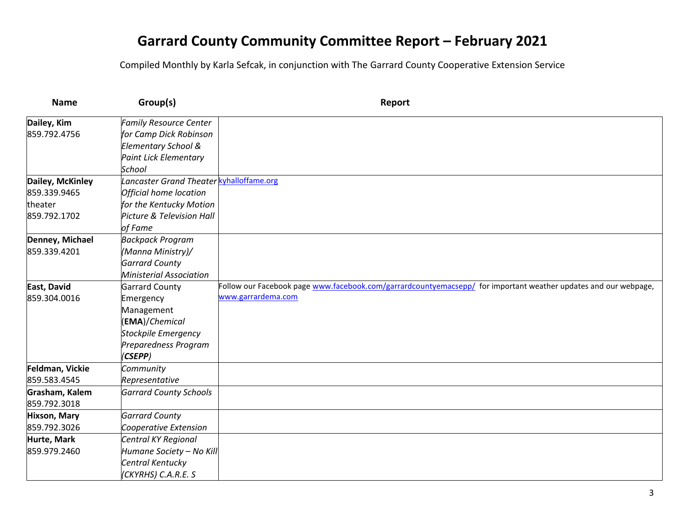| <b>Name</b>         | Group(s)                                 | Report                                                                                                          |
|---------------------|------------------------------------------|-----------------------------------------------------------------------------------------------------------------|
| Dailey, Kim         | <b>Family Resource Center</b>            |                                                                                                                 |
| 859.792.4756        | for Camp Dick Robinson                   |                                                                                                                 |
|                     | Elementary School &                      |                                                                                                                 |
|                     | <b>Paint Lick Elementary</b>             |                                                                                                                 |
|                     | School                                   |                                                                                                                 |
| Dailey, McKinley    | Lancaster Grand Theater kyhalloffame.org |                                                                                                                 |
| 859.339.9465        | Official home location                   |                                                                                                                 |
| theater             | for the Kentucky Motion                  |                                                                                                                 |
| 859.792.1702        | Picture & Television Hall                |                                                                                                                 |
|                     | of Fame                                  |                                                                                                                 |
| Denney, Michael     | <b>Backpack Program</b>                  |                                                                                                                 |
| 859.339.4201        | (Manna Ministry)/                        |                                                                                                                 |
|                     | <b>Garrard County</b>                    |                                                                                                                 |
|                     | <b>Ministerial Association</b>           |                                                                                                                 |
| East, David         | <b>Garrard County</b>                    | Follow our Facebook page www.facebook.com/garrardcountyemacsepp/ for important weather updates and our webpage, |
| 859.304.0016        | Emergency                                | www.garrardema.com                                                                                              |
|                     | Management                               |                                                                                                                 |
|                     | (EMA)/Chemical                           |                                                                                                                 |
|                     | <b>Stockpile Emergency</b>               |                                                                                                                 |
|                     | Preparedness Program                     |                                                                                                                 |
|                     | (CSEPP)                                  |                                                                                                                 |
| Feldman, Vickie     | Community                                |                                                                                                                 |
| 859.583.4545        | Representative                           |                                                                                                                 |
| Grasham, Kalem      | <b>Garrard County Schools</b>            |                                                                                                                 |
| 859.792.3018        |                                          |                                                                                                                 |
| <b>Hixson, Mary</b> | <b>Garrard County</b>                    |                                                                                                                 |
| 859.792.3026        | Cooperative Extension                    |                                                                                                                 |
| Hurte, Mark         | Central KY Regional                      |                                                                                                                 |
| 859.979.2460        | Humane Society - No Kill                 |                                                                                                                 |
|                     | Central Kentucky                         |                                                                                                                 |
|                     | (CKYRHS) C.A.R.E. S                      |                                                                                                                 |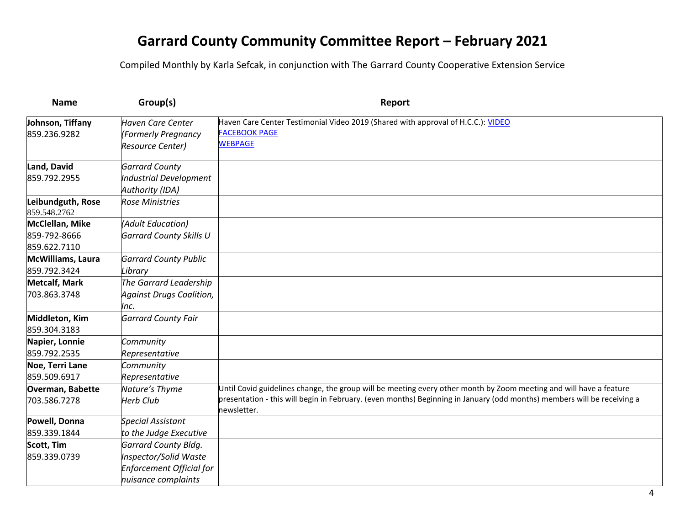| <b>Name</b>                                     | Group(s)                                                                                                | Report                                                                                                                                                                                                                                                       |
|-------------------------------------------------|---------------------------------------------------------------------------------------------------------|--------------------------------------------------------------------------------------------------------------------------------------------------------------------------------------------------------------------------------------------------------------|
| Johnson, Tiffany<br>859.236.9282                | <b>Haven Care Center</b><br>(Formerly Pregnancy<br><b>Resource Center)</b>                              | Haven Care Center Testimonial Video 2019 (Shared with approval of H.C.C.): VIDEO<br><b>FACEBOOK PAGE</b><br><b>WEBPAGE</b>                                                                                                                                   |
| Land, David<br>859.792.2955                     | <b>Garrard County</b><br>Industrial Development<br>Authority (IDA)                                      |                                                                                                                                                                                                                                                              |
| Leibundguth, Rose<br>859.548.2762               | <b>Rose Ministries</b>                                                                                  |                                                                                                                                                                                                                                                              |
| McClellan, Mike<br>859-792-8666<br>859.622.7110 | (Adult Education)<br><b>Garrard County Skills U</b>                                                     |                                                                                                                                                                                                                                                              |
| McWilliams, Laura<br>859.792.3424               | <b>Garrard County Public</b><br>Library                                                                 |                                                                                                                                                                                                                                                              |
| <b>Metcalf, Mark</b><br>703.863.3748            | The Garrard Leadership<br><b>Against Drugs Coalition,</b><br>Inc.                                       |                                                                                                                                                                                                                                                              |
| Middleton, Kim<br>859.304.3183                  | <b>Garrard County Fair</b>                                                                              |                                                                                                                                                                                                                                                              |
| Napier, Lonnie<br>859.792.2535                  | Community<br>Representative                                                                             |                                                                                                                                                                                                                                                              |
| Noe, Terri Lane<br>859.509.6917                 | Community<br>Representative                                                                             |                                                                                                                                                                                                                                                              |
| Overman, Babette<br>703.586.7278                | Nature's Thyme<br><b>Herb Club</b>                                                                      | Until Covid guidelines change, the group will be meeting every other month by Zoom meeting and will have a feature<br>presentation - this will begin in February. (even months) Beginning in January (odd months) members will be receiving a<br>newsletter. |
| Powell, Donna<br>859.339.1844                   | <b>Special Assistant</b><br>to the Judge Executive                                                      |                                                                                                                                                                                                                                                              |
| <b>Scott, Tim</b><br>859.339.0739               | <b>Garrard County Bldg.</b><br>Inspector/Solid Waste<br>Enforcement Official for<br>nuisance complaints |                                                                                                                                                                                                                                                              |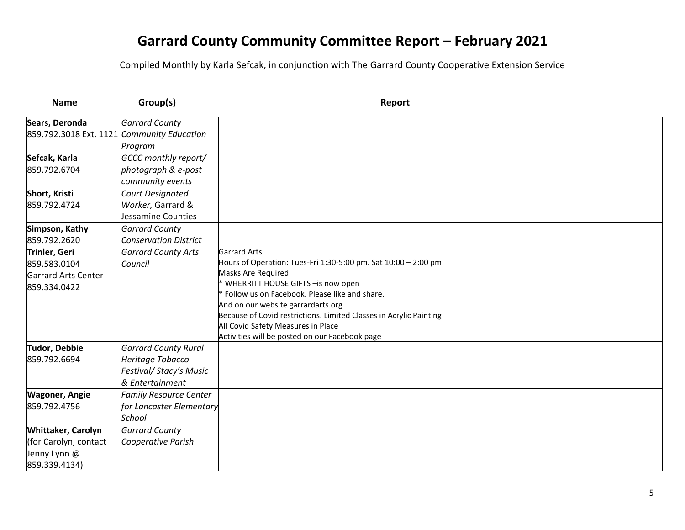| <b>Name</b>                                | Group(s)                      | Report                                                                                                   |
|--------------------------------------------|-------------------------------|----------------------------------------------------------------------------------------------------------|
| Sears, Deronda                             | <b>Garrard County</b>         |                                                                                                          |
| 859.792.3018 Ext. 1121 Community Education |                               |                                                                                                          |
|                                            | Program                       |                                                                                                          |
| Sefcak, Karla                              | <b>GCCC</b> monthly report/   |                                                                                                          |
| 859.792.6704                               | photograph & e-post           |                                                                                                          |
|                                            | community events              |                                                                                                          |
| Short, Kristi                              | Court Designated              |                                                                                                          |
| 859.792.4724                               | Worker, Garrard &             |                                                                                                          |
|                                            | Jessamine Counties            |                                                                                                          |
| Simpson, Kathy                             | <b>Garrard County</b>         |                                                                                                          |
| 859.792.2620                               | <b>Conservation District</b>  |                                                                                                          |
| Trinler, Geri                              | <b>Garrard County Arts</b>    | <b>Garrard Arts</b>                                                                                      |
| 859.583.0104                               | Council                       | Hours of Operation: Tues-Fri 1:30-5:00 pm. Sat 10:00 - 2:00 pm                                           |
| Garrard Arts Center                        |                               | Masks Are Required                                                                                       |
| 859.334.0422                               |                               | * WHERRITT HOUSE GIFTS - is now open                                                                     |
|                                            |                               | Follow us on Facebook. Please like and share.                                                            |
|                                            |                               | And on our website garrardarts.org<br>Because of Covid restrictions. Limited Classes in Acrylic Painting |
|                                            |                               | All Covid Safety Measures in Place                                                                       |
|                                            |                               | Activities will be posted on our Facebook page                                                           |
| <b>Tudor, Debbie</b>                       | <b>Garrard County Rural</b>   |                                                                                                          |
| 859.792.6694                               | Heritage Tobacco              |                                                                                                          |
|                                            | Festival/Stacy's Music        |                                                                                                          |
|                                            | & Entertainment               |                                                                                                          |
| <b>Wagoner, Angie</b>                      | <b>Family Resource Center</b> |                                                                                                          |
| 859.792.4756                               | for Lancaster Elementary      |                                                                                                          |
|                                            | School                        |                                                                                                          |
| Whittaker, Carolyn                         | <b>Garrard County</b>         |                                                                                                          |
| (for Carolyn, contact                      | Cooperative Parish            |                                                                                                          |
| Jenny Lynn @                               |                               |                                                                                                          |
| 859.339.4134)                              |                               |                                                                                                          |